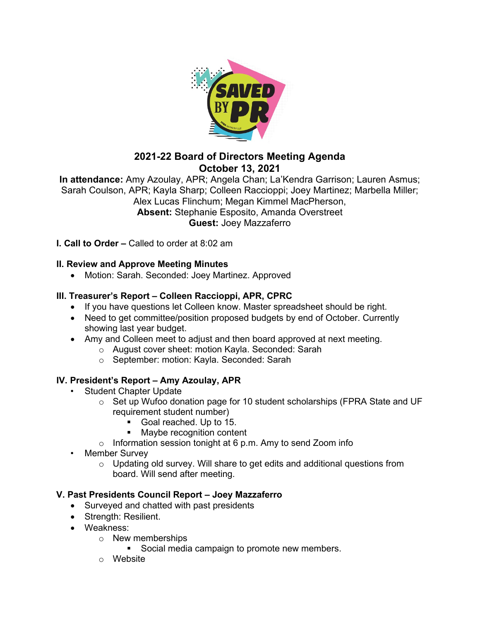

# **2021-22 Board of Directors Meeting Agenda October 13, 2021**

**In attendance:** Amy Azoulay, APR; Angela Chan; La'Kendra Garrison; Lauren Asmus; Sarah Coulson, APR; Kayla Sharp; Colleen Raccioppi; Joey Martinez; Marbella Miller; Alex Lucas Flinchum; Megan Kimmel MacPherson, **Absent:** Stephanie Esposito, Amanda Overstreet **Guest:** Joey Mazzaferro

**I. Call to Order –** Called to order at 8:02 am

### **II. Review and Approve Meeting Minutes**

• Motion: Sarah. Seconded: Joey Martinez. Approved

## **III. Treasurer's Report – Colleen Raccioppi, APR, CPRC**

- If you have questions let Colleen know. Master spreadsheet should be right.
- Need to get committee/position proposed budgets by end of October. Currently showing last year budget.
- Amy and Colleen meet to adjust and then board approved at next meeting.
	- o August cover sheet: motion Kayla. Seconded: Sarah
	- o September: motion: Kayla. Seconded: Sarah

## **IV. President's Report – Amy Azoulay, APR**

- Student Chapter Update
	- o Set up Wufoo donation page for 10 student scholarships (FPRA State and UF requirement student number)
		- Goal reached. Up to 15.
		- **Maybe recognition content**
	- $\circ$  Information session tonight at 6 p.m. Amy to send Zoom info
- Member Survey
	- $\circ$  Updating old survey. Will share to get edits and additional questions from board. Will send after meeting.

## **V. Past Presidents Council Report – Joey Mazzaferro**

- Surveyed and chatted with past presidents
- Strength: Resilient.
- Weakness:
	- o New memberships
		- Social media campaign to promote new members.
	- o Website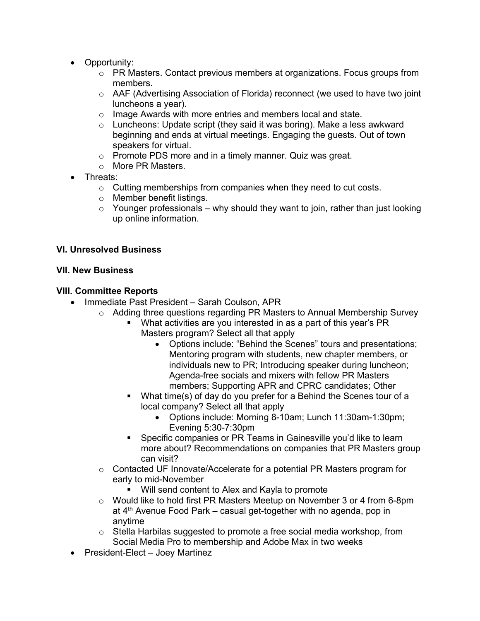- Opportunity:
	- $\circ$  PR Masters. Contact previous members at organizations. Focus groups from members.
	- $\circ$  AAF (Advertising Association of Florida) reconnect (we used to have two joint luncheons a year).
	- o Image Awards with more entries and members local and state.
	- o Luncheons: Update script (they said it was boring). Make a less awkward beginning and ends at virtual meetings. Engaging the guests. Out of town speakers for virtual.
	- o Promote PDS more and in a timely manner. Quiz was great.
	- o More PR Masters.
- Threats:
	- o Cutting memberships from companies when they need to cut costs.
	- o Member benefit listings.
	- $\circ$  Younger professionals why should they want to join, rather than just looking up online information.

#### **VI. Unresolved Business**

#### **VII. New Business**

#### **VIII. Committee Reports**

- Immediate Past President Sarah Coulson, APR
	- $\circ$  Adding three questions regarding PR Masters to Annual Membership Survey
		- What activities are you interested in as a part of this year's PR Masters program? Select all that apply
			- Options include: "Behind the Scenes" tours and presentations; Mentoring program with students, new chapter members, or individuals new to PR; Introducing speaker during luncheon; Agenda-free socials and mixers with fellow PR Masters members; Supporting APR and CPRC candidates; Other
		- What time(s) of day do you prefer for a Behind the Scenes tour of a local company? Select all that apply
			- Options include: Morning 8-10am; Lunch 11:30am-1:30pm; Evening 5:30-7:30pm
		- Specific companies or PR Teams in Gainesville you'd like to learn more about? Recommendations on companies that PR Masters group can visit?
	- $\circ$  Contacted UF Innovate/Accelerate for a potential PR Masters program for early to mid-November
		- Will send content to Alex and Kayla to promote
	- o Would like to hold first PR Masters Meetup on November 3 or 4 from 6-8pm at 4<sup>th</sup> Avenue Food Park – casual get-together with no agenda, pop in anytime
	- $\circ$  Stella Harbilas suggested to promote a free social media workshop, from Social Media Pro to membership and Adobe Max in two weeks
- President-Elect Joey Martinez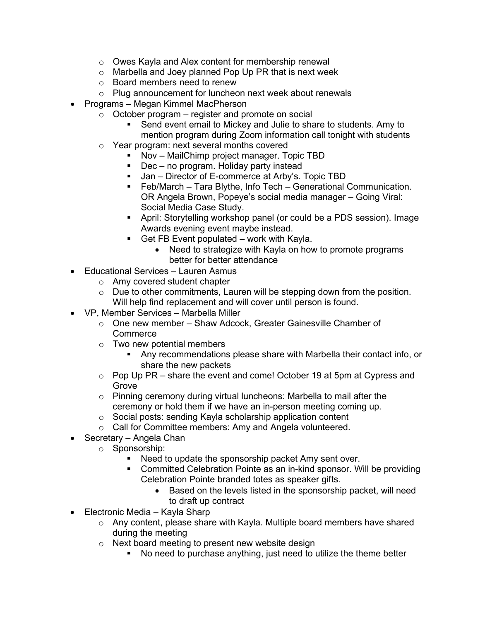- o Owes Kayla and Alex content for membership renewal
- o Marbella and Joey planned Pop Up PR that is next week
- o Board members need to renew
- o Plug announcement for luncheon next week about renewals
- Programs Megan Kimmel MacPherson
	- $\circ$  October program register and promote on social
		- Send event email to Mickey and Julie to share to students. Amy to mention program during Zoom information call tonight with students
	- o Year program: next several months covered
		- Nov MailChimp project manager. Topic TBD
		- Dec no program. Holiday party instead
		- Jan Director of E-commerce at Arby's. Topic TBD
		- Feb/March Tara Blythe, Info Tech Generational Communication. OR Angela Brown, Popeye's social media manager – Going Viral: Social Media Case Study.
		- April: Storytelling workshop panel (or could be a PDS session). Image Awards evening event maybe instead.
		- Get FB Event populated work with Kayla.
			- Need to strategize with Kayla on how to promote programs better for better attendance
- Educational Services Lauren Asmus
	- o Amy covered student chapter
	- $\circ$  Due to other commitments, Lauren will be stepping down from the position. Will help find replacement and will cover until person is found.
- VP, Member Services Marbella Miller
	- o One new member Shaw Adcock, Greater Gainesville Chamber of **Commerce**
	- o Two new potential members
		- Any recommendations please share with Marbella their contact info, or share the new packets
	- o Pop Up PR share the event and come! October 19 at 5pm at Cypress and Grove
	- o Pinning ceremony during virtual luncheons: Marbella to mail after the ceremony or hold them if we have an in-person meeting coming up.
	- o Social posts: sending Kayla scholarship application content
	- o Call for Committee members: Amy and Angela volunteered.
- Secretary Angela Chan
	- o Sponsorship:
		- **Need to update the sponsorship packet Amy sent over.**
		- Committed Celebration Pointe as an in-kind sponsor. Will be providing Celebration Pointe branded totes as speaker gifts.
			- Based on the levels listed in the sponsorship packet, will need to draft up contract
- Electronic Media Kayla Sharp
	- o Any content, please share with Kayla. Multiple board members have shared during the meeting
	- o Next board meeting to present new website design
		- No need to purchase anything, just need to utilize the theme better